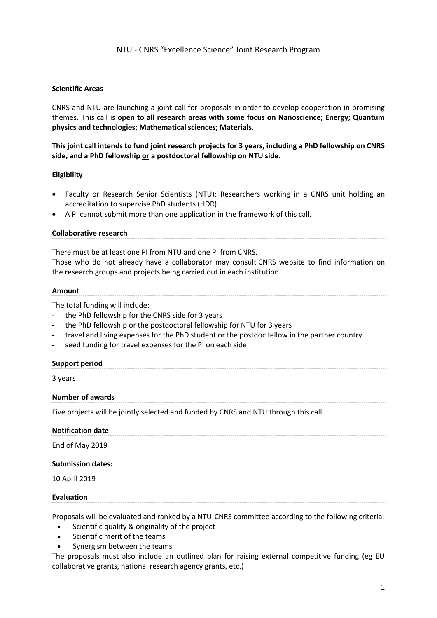# NTU - CNRS "Excellence Science" Joint Research Program

# **Scientific Areas**

CNRS and NTU are launching a joint call for proposals in order to develop cooperation in promising themes. This call is **open to all research areas with some focus on Nanoscience; Energy; Quantum physics and technologies; Mathematical sciences; Materials**.

**This joint call intends to fund joint research projects for 3 years, including a PhD fellowship on CNRS side, and a PhD fellowship or a postdoctoral fellowship on NTU side.** 

# **Eligibility**

- Faculty or Research Senior Scientists (NTU); Researchers working in a CNRS unit holding an accreditation to supervise PhD students (HDR)
- A PI cannot submit more than one application in the framework of this call.

### **Collaborative research**

There must be at least one PI from NTU and one PI from CNRS. Those who do not already have a collaborator may consult [CNRS website](http://www.cnrs.fr/index.html) to find information on the research groups and projects being carried out in each institution.

# **Amount**

The total funding will include:

- the PhD fellowship for the CNRS side for 3 years
- the PhD fellowship or the postdoctoral fellowship for NTU for 3 years
- travel and living expenses for the PhD student or the postdoc fellow in the partner country
- seed funding for travel expenses for the PI on each side

# **Support period**

3 years

# **Number of awards**

Five projects will be jointly selected and funded by CNRS and NTU through this call.

| <b>Notification date</b> |  |  |  |
|--------------------------|--|--|--|
| End of May 2019          |  |  |  |
| <b>Submission dates:</b> |  |  |  |
| 10 April 2019            |  |  |  |

#### **Evaluation**

Proposals will be evaluated and ranked by a NTU-CNRS committee according to the following criteria:

- Scientific quality & originality of the project
- Scientific merit of the teams
- Synergism between the teams

The proposals must also include an outlined plan for raising external competitive funding (eg EU collaborative grants, national research agency grants, etc.)